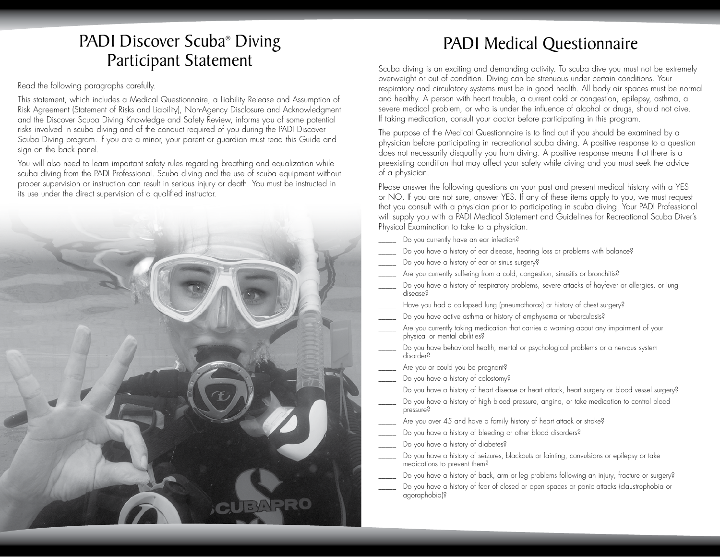## PADI Discover Scuba® Diving Participant Statement

Read the following paragraphs carefully.

This statement, which includes a Medical Questionnaire, a Liability Release and Assumption of Risk Agreement (Statement of Risks and Liability), Non-Agency Disclosure and Acknowledgment and the Discover Scuba Diving Knowledge and Safety Review, informs you of some potential risks involved in scuba diving and of the conduct required of you during the PADI Discover Scuba Diving program. If you are a minor, your parent or guardian must read this Guide and sign on the back panel.

You will also need to learn important safety rules regarding breathing and equalization while scuba diving from the PADI Professional. Scuba diving and the use of scuba equipment without proper supervision or instruction can result in serious injury or death. You must be instructed in its use under the direct supervision of a qualified instructor.



## PADI Medical Questionnaire

Scuba diving is an exciting and demanding activity. To scuba dive you must not be extremely overweight or out of condition. Diving can be strenuous under certain conditions. Your respiratory and circulatory systems must be in good health. All body air spaces must be normal and healthy. A person with heart trouble, a current cold or congestion, epilepsy, asthma, a severe medical problem, or who is under the infuence of alcohol or drugs, should not dive. If taking medication, consult your doctor before participating in this program.

The purpose of the Medical Questionnaire is to find out if you should be examined by a physician before participating in recreational scuba diving. A positive response to a question does not necessarily disqualify you from diving. A positive response means that there is a preexisting condition that may affect your safety while diving and you must seek the advice of a physician.

Please answer the following questions on your past and present medical history with a YES or NO. If you are not sure, answer YES. If any of these items apply to you, we must request that you consult with a physician prior to participating in scuba diving. Your PADI Professional will supply you with a PADI Medical Statement and Guidelines for Recreational Scuba Diver's Physical Examination to take to a physician.

- Do you currently have an ear infection?
- Do you have a history of ear disease, hearing loss or problems with balance?
- Do you have a history of ear or sinus surgery?
- Are you currently suffering from a cold, congestion, sinusitis or bronchitis?
- Do you have a history of respiratory problems, severe attacks of hayfever or allergies, or lung disease?
- Have you had a collapsed lung (pneumothorax) or history of chest surgery?
- Do you have active asthma or history of emphysema or tuberculosis?
- Are you currently taking medication that carries a warning about any impairment of your physical or mental abilities?
- Do you have behavioral health, mental or psychological problems or a nervous system disorder?
- Are you or could you be pregnant?
- Do you have a history of colostomy?
- Do you have a history of heart disease or heart attack, heart surgery or blood vessel surgery?
- Do you have a history of high blood pressure, angina, or take medication to control blood pressure?
- Are you over 45 and have a family history of heart attack or stroke?
- Do you have a history of bleeding or other blood disorders?
- Do you have a history of diabetes?
- Do you have a history of seizures, blackouts or fainting, convulsions or epilepsy or take medications to prevent them?
- Do you have a history of back, arm or leg problems following an injury, fracture or surgery?
- Do you have a history of fear of closed or open spaces or panic attacks (claustrophobia or agoraphobia)?